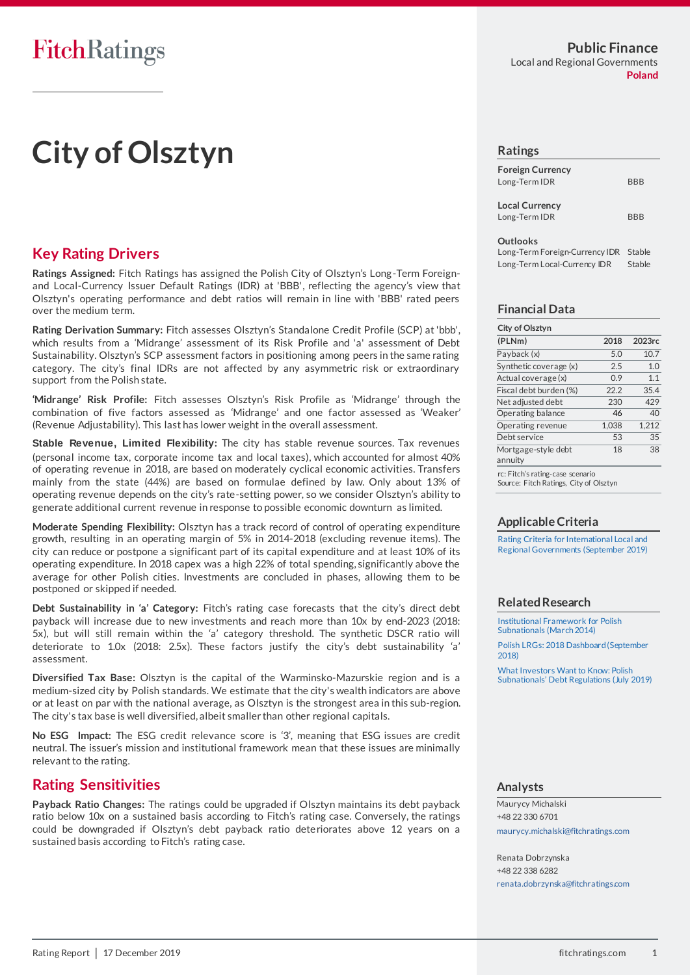# **City of Olsztyn**

# **Key Rating Drivers**

**Ratings Assigned:** Fitch Ratings has assigned the Polish City of Olsztyn's Long-Term Foreignand Local-Currency Issuer Default Ratings (IDR) at 'BBB', reflecting the agency's view that Olsztyn's operating performance and debt ratios will remain in line with 'BBB' rated peers over the medium term.

**Rating Derivation Summary:** Fitch assesses Olsztyn's Standalone Credit Profile (SCP) at 'bbb', which results from a 'Midrange' assessment of its Risk Profile and 'a' assessment of Debt Sustainability. Olsztyn's SCP assessment factors in positioning among peers in the same rating category. The city's final IDRs are not affected by any asymmetric risk or extraordinary support from the Polish state.

**'Midrange' Risk Profile:** Fitch assesses Olsztyn's Risk Profile as 'Midrange' through the combination of five factors assessed as 'Midrange' and one factor assessed as 'Weaker' (Revenue Adjustability). This last has lower weight in the overall assessment.

**Stable Revenue, Limited Flexibility:** The city has stable revenue sources. Tax revenues (personal income tax, corporate income tax and local taxes), which accounted for almost 40% of operating revenue in 2018, are based on moderately cyclical economic activities. Transfers mainly from the state (44%) are based on formulae defined by law. Only about 13% of operating revenue depends on the city's rate-setting power, so we consider Olsztyn's ability to generate additional current revenue in response to possible economic downturn as limited.

**Moderate Spending Flexibility:** Olsztyn has a track record of control of operating expenditure growth, resulting in an operating margin of 5% in 2014-2018 (excluding revenue items). The city can reduce or postpone a significant part of its capital expenditure and at least 10% of its operating expenditure. In 2018 capex was a high 22% of total spending, significantly above the average for other Polish cities. Investments are concluded in phases, allowing them to be postponed or skipped if needed.

**Debt Sustainability in 'a' Category:** Fitch's rating case forecasts that the city's direct debt payback will increase due to new investments and reach more than 10x by end-2023 (2018: 5x), but will still remain within the 'a' category threshold. The synthetic DSCR ratio will deteriorate to 1.0x (2018: 2.5x). These factors justify the city's debt sustainability 'a' assessment.

**Diversified Tax Base:** Olsztyn is the capital of the Warminsko-Mazurskie region and is a medium-sized city by Polish standards. We estimate that the city's wealth indicators are above or at least on par with the national average, as Olsztyn is the strongest area in this sub-region. The city's tax base is well diversified, albeit smaller than other regional capitals.

**No ESG Impact:** The ESG credit relevance score is '3', meaning that ESG issues are credit neutral. The issuer's mission and institutional framework mean that these issues are minimally relevant to the rating.

### **Rating Sensitivities**

**Payback Ratio Changes:** The ratings could be upgraded if Olsztyn maintains its debt payback ratio below 10x on a sustained basis according to Fitch's rating case. Conversely, the ratings could be downgraded if Olsztyn's debt payback ratio deteriorates above 12 years on a sustained basis according to Fitch's rating case.

#### **Public Finance** Local and Regional Governments **Poland**

#### **Ratings**

| <b>Foreign Currency</b><br>Long-Term IDR | <b>BBB</b> |
|------------------------------------------|------------|
| <b>Local Currency</b><br>Long-Term IDR   | <b>BBB</b> |
| Outlooks                                 |            |

Long-Term Foreign-Currency IDR Stable Long-Term Local-Currency IDR Stable

#### **Financial Data**

| City of Olsztyn                                 |       |        |
|-------------------------------------------------|-------|--------|
| (PLNm)                                          | 2018  | 2023rc |
| Payback (x)                                     | 5.0   | 10.7   |
| Synthetic coverage (x)                          | 2.5   | 1.0    |
| Actual coverage (x)                             | 0.9   | 1.1    |
| Fiscal debt burden (%)                          | 22.2  | 35.4   |
| Net adjusted debt                               | 230   | 429    |
| Operating balance                               | 46    | 40     |
| Operating revenue                               | 1,038 | 1.212  |
| Debt service                                    | 53    | 35     |
| Mortgage-style debt<br>annuity                  | 18    | 38     |
| ing a Filip bile modification of the compact of |       |        |

c: Fitch's rating-case Source: Fitch Ratings, City of Olsztyn

#### **Applicable Criteria**

[Rating Criteria for International Local and](https://www.fitchratings.com/site/re/10087140)  [Regional Governments](https://www.fitchratings.com/site/re/10087140) (September 2019)

#### **Related Research**

[Institutional Framework for Polish](https://www.fitchratings.com/creditdesk/reports/report_frame.cfm?rpt_id=736777)  [Subnationals \(March 2014\)](https://www.fitchratings.com/creditdesk/reports/report_frame.cfm?rpt_id=736777) [Polish LRGs: 2018 Dashboard \(September](https://www.fitchratings.com/site/re/10045799)  [2018\)](https://www.fitchratings.com/site/re/10045799)

[What Investors Want to Know: Polish](https://www.fitchratings.com/site/re/10080409)  [Subnationals' Debt Regulations \(July 2019\)](https://www.fitchratings.com/site/re/10080409)

#### **Analysts**

Maurycy Michalski +48 22 330 6701 [maurycy.michalski@fitchratings.com](mailto:maurycy.michalski@fitchratings.com)

Renata Dobrzynska +48 22 338 6282 [renata.dobrzynska@fitchratings.com](mailto:renata.dobrzynska@fitchratings.com)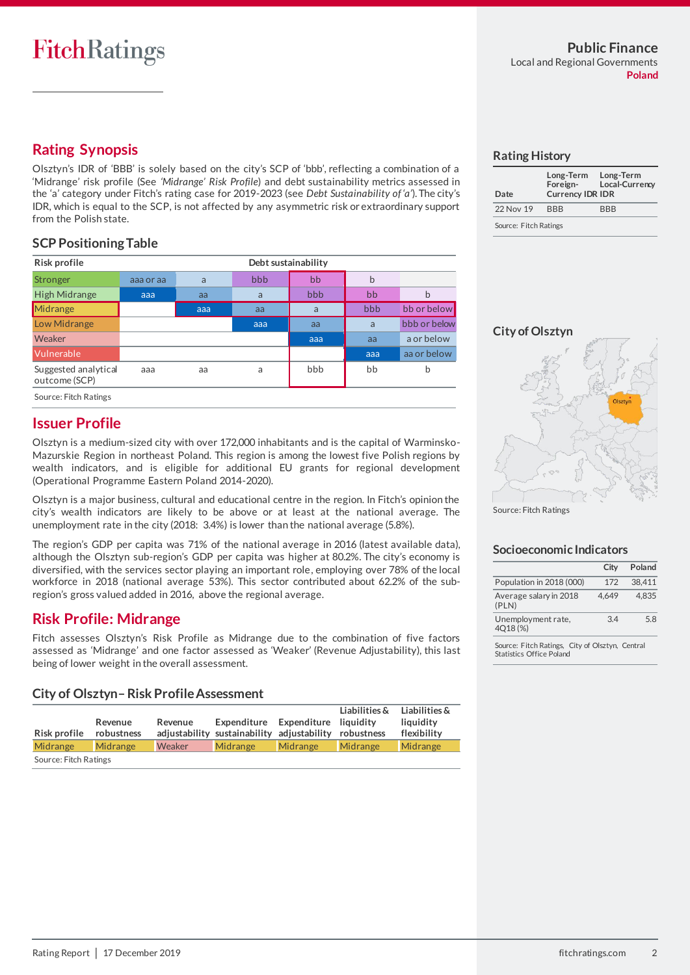# **Rating Synopsis**

Olsztyn's IDR of 'BBB' is solely based on the city's SCP of 'bbb', reflecting a combination of a 'Midrange' risk profile (See *'Midrange' Risk Profile*) and debt sustainability metrics assessed in the 'a' category under Fitch's rating case for 2019-2023 (see *Debt Sustainability of 'a'*). The city's IDR, which is equal to the SCP, is not affected by any asymmetric risk or extraordinary support from the Polish state.

### **SCP Positioning Table**

| Risk profile                          | Debt sustainability |     |     |     |     |              |
|---------------------------------------|---------------------|-----|-----|-----|-----|--------------|
| Stronger                              | aaa or aa           | a   | bbb | bb  | b   |              |
| <b>High Midrange</b>                  | aaa                 | aa  | a   | bbb | bb  | b            |
| Midrange                              |                     | aaa | aa  | a   | bbb | bb or below  |
| Low Midrange                          |                     |     | aaa | aa  | a   | bbb or below |
| Weaker                                |                     |     |     | aaa | aa  | a or below   |
| Vulnerable                            |                     |     |     |     | aaa | aa or below  |
| Suggested analytical<br>outcome (SCP) | aaa                 | aa  | a   | bbb | bb  | b            |
| Source: Fitch Ratings                 |                     |     |     |     |     |              |

# **Issuer Profile**

Olsztyn is a medium-sized city with over 172,000 inhabitants and is the capital of Warminsko-Mazurskie Region in northeast Poland. This region is among the lowest five Polish regions by wealth indicators, and is eligible for additional EU grants for regional development (Operational Programme Eastern Poland 2014-2020).

Olsztyn is a major business, cultural and educational centre in the region. In Fitch's opinion the city's wealth indicators are likely to be above or at least at the national average. The unemployment rate in the city (2018: 3.4%) is lower than the national average (5.8%).

The region's GDP per capita was 71% of the national average in 2016 (latest available data), although the Olsztyn sub-region's GDP per capita was higher at 80.2%. The city's economy is diversified, with the services sector playing an important role, employing over 78% of the local workforce in 2018 (national average 53%). This sector contributed about 62.2% of the subregion's gross valued added in 2016, above the regional average.

# **Risk Profile: Midrange**

Fitch assesses Olsztyn's Risk Profile as Midrange due to the combination of five factors assessed as 'Midrange' and one factor assessed as 'Weaker' (Revenue Adjustability), this last being of lower weight in the overall assessment.

| Risk profile          | Revenue<br>robustness | Revenue | Expenditure Expenditure liquidity<br>adjustability sustainability adjustability robustness |          | Liabilities & | Liabilities $\&$<br>liauidity<br>flexibility |
|-----------------------|-----------------------|---------|--------------------------------------------------------------------------------------------|----------|---------------|----------------------------------------------|
| Midrange              | Midrange              | Weaker  | Midrange                                                                                   | Midrange | Midrange      | Midrange                                     |
| Source: Fitch Ratings |                       |         |                                                                                            |          |               |                                              |

#### **Rating History**

| Date                  | Long-Term<br>Foreign-<br><b>Currency IDR IDR</b> | Long-Term<br>Local-Currency |
|-----------------------|--------------------------------------------------|-----------------------------|
| 22 Nov 19             | <b>BBB</b>                                       | <b>RRR</b>                  |
| Source: Fitch Ratings |                                                  |                             |

**City of Olsztyn**



Source: Fitch Ratings

#### **Socioeconomic Indicators**

|                                 | City  | Poland |
|---------------------------------|-------|--------|
| Population in 2018 (000)        | 172   | 38,411 |
| Average salary in 2018<br>(PLN) | 4.649 | 4.835  |
| Unemployment rate,<br>4018 (%)  | 34    | 5.8    |
|                                 |       |        |

Source: Fitch Ratings, City of Olsztyn, Central Statistics Office Poland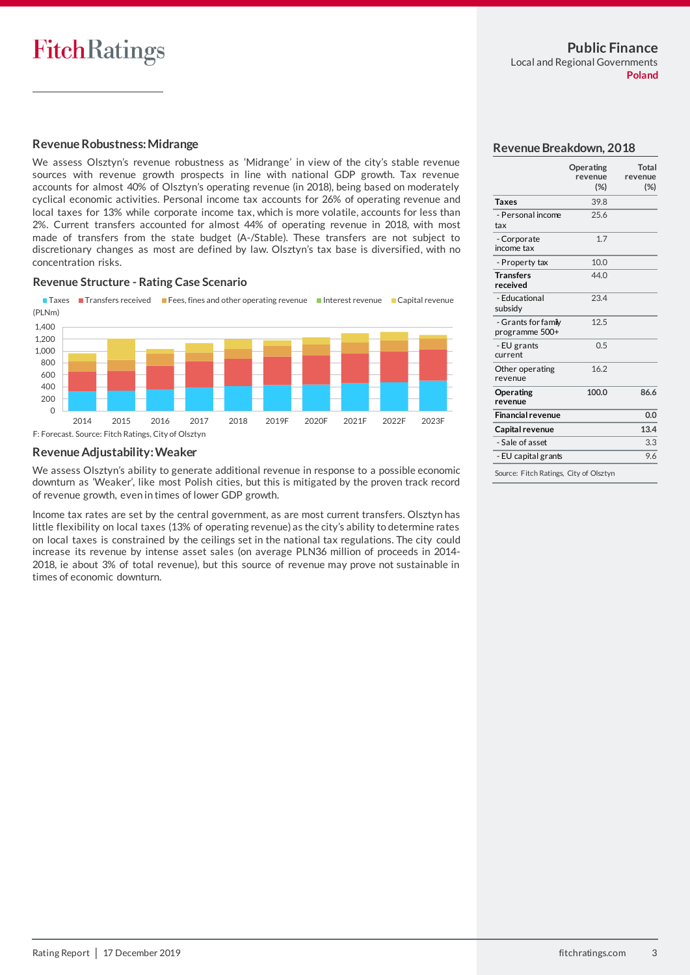#### **Revenue Robustness: Midrange**

We assess Olsztyn's revenue robustness as 'Midrange' in view of the city's stable revenue sources with revenue growth prospects in line with national GDP growth. Tax revenue accounts for almost 40% of Olsztyn's operating revenue (in 2018), being based on moderately cyclical economic activities. Personal income tax accounts for 26% of operating revenue and local taxes for 13% while corporate income tax, which is more volatile, accounts for less than 2%. Current transfers accounted for almost 44% of operating revenue in 2018, with most made of transfers from the state budget (A-/Stable). These transfers are not subject to discretionary changes as most are defined by law. Olsztyn's tax base is diversified, with no concentration risks.

#### **Revenue Structure - Rating Case Scenario**

Taxes Transfers received Fees, fines and other operating revenue Interest revenue Capital revenue (PLNm)



#### **Revenue Adjustability: Weaker**

We assess Olsztyn's ability to generate additional revenue in response to a possible economic downturn as 'Weaker', like most Polish cities, but this is mitigated by the proven track record of revenue growth, even in times of lower GDP growth.

Income tax rates are set by the central government, as are most current transfers. Olsztyn has little flexibility on local taxes (13% of operating revenue) as the city's ability to determine rates on local taxes is constrained by the ceilings set in the national tax regulations. The city could increase its revenue by intense asset sales (on average PLN36 million of proceeds in 2014- 2018, ie about 3% of total revenue), but this source of revenue may prove not sustainable in times of economic downturn.

#### **Revenue Breakdown, 2018**

|                                        | Operating<br>revenue<br>$(\%)$ | Total<br>revenue<br>$(\%)$ |
|----------------------------------------|--------------------------------|----------------------------|
| Taxes                                  | 39.8                           |                            |
| - Personal income<br>tax               | 25.6                           |                            |
| - Corporate<br>income tax              | 1.7                            |                            |
| - Property tax                         | 10.0                           |                            |
| <b>Transfers</b><br>received           | 44.0                           |                            |
| - Educational<br>subsidy               | 23.4                           |                            |
| - Grants for famiy<br>programme 500+   | 12.5                           |                            |
| - EU grants<br>current                 | 0.5                            |                            |
| Other operating<br>revenue             | 16.2                           |                            |
| Operating<br>revenue                   | 100.0                          | 86.6                       |
| <b>Financial revenue</b>               |                                | 0.0                        |
| Capital revenue                        |                                | 13.4                       |
| - Sale of asset                        |                                | 3.3                        |
| - EU capital grants                    |                                | 9.6                        |
| Source: Fitch Ratings, City of Olsztyn |                                |                            |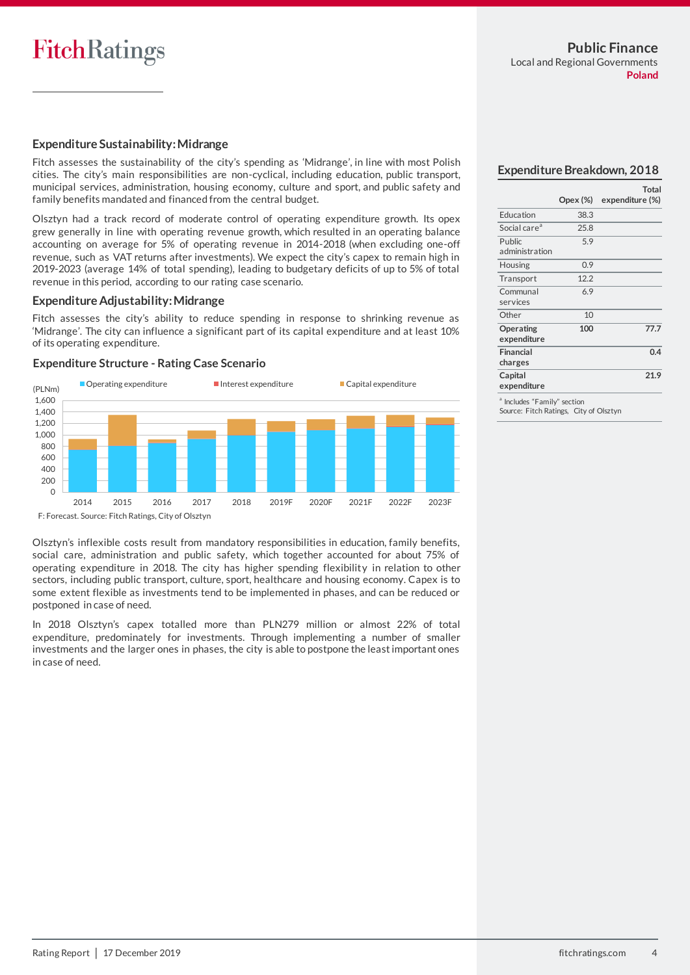#### **Expenditure Sustainability: Midrange**

Fitch assesses the sustainability of the city's spending as 'Midrange', in line with most Polish cities. The city's main responsibilities are non-cyclical, including education, public transport, municipal services, administration, housing economy, culture and sport, and public safety and family benefits mandated and financed from the central budget.

Olsztyn had a track record of moderate control of operating expenditure growth. Its opex grew generally in line with operating revenue growth, which resulted in an operating balance accounting on average for 5% of operating revenue in 2014-2018 (when excluding one-off revenue, such as VAT returns after investments). We expect the city's capex to remain high in 2019-2023 (average 14% of total spending), leading to budgetary deficits of up to 5% of total revenue in this period, according to our rating case scenario.

#### **Expenditure Adjustability: Midrange**

Fitch assesses the city's ability to reduce spending in response to shrinking revenue as 'Midrange'. The city can influence a significant part of its capital expenditure and at least 10% of its operating expenditure.





#### **Expenditure Breakdown, 2018**

|                                         | Opex (%) | Total<br>expenditure (%) |
|-----------------------------------------|----------|--------------------------|
| Education                               | 38.3     |                          |
| Social care <sup>a</sup>                | 25.8     |                          |
| Public<br>administration                | 5.9      |                          |
| Housing                                 | 0.9      |                          |
| Transport                               | 12.2     |                          |
| Communal<br>services                    | 6.9      |                          |
| Other                                   | 10       |                          |
| Operating<br>expenditure                | 100      | 77.7                     |
| Financial<br>charges                    |          | 0.4                      |
| Capital<br>expenditure                  |          | 21.9                     |
| <sup>8</sup> lealudes "Eassilu" sestias |          |                          |

hily" section Source: Fitch Ratings, City of Olsztyn

Olsztyn's inflexible costs result from mandatory responsibilities in education, family benefits, social care, administration and public safety, which together accounted for about 75% of operating expenditure in 2018. The city has higher spending flexibility in relation to other sectors, including public transport, culture, sport, healthcare and housing economy. Capex is to some extent flexible as investments tend to be implemented in phases, and can be reduced or postponed in case of need.

In 2018 Olsztyn's capex totalled more than PLN279 million or almost 22% of total expenditure, predominately for investments. Through implementing a number of smaller investments and the larger ones in phases, the city is able to postpone the least important ones in case of need.

F: Forecast. Source: Fitch Ratings, City of Olsztyn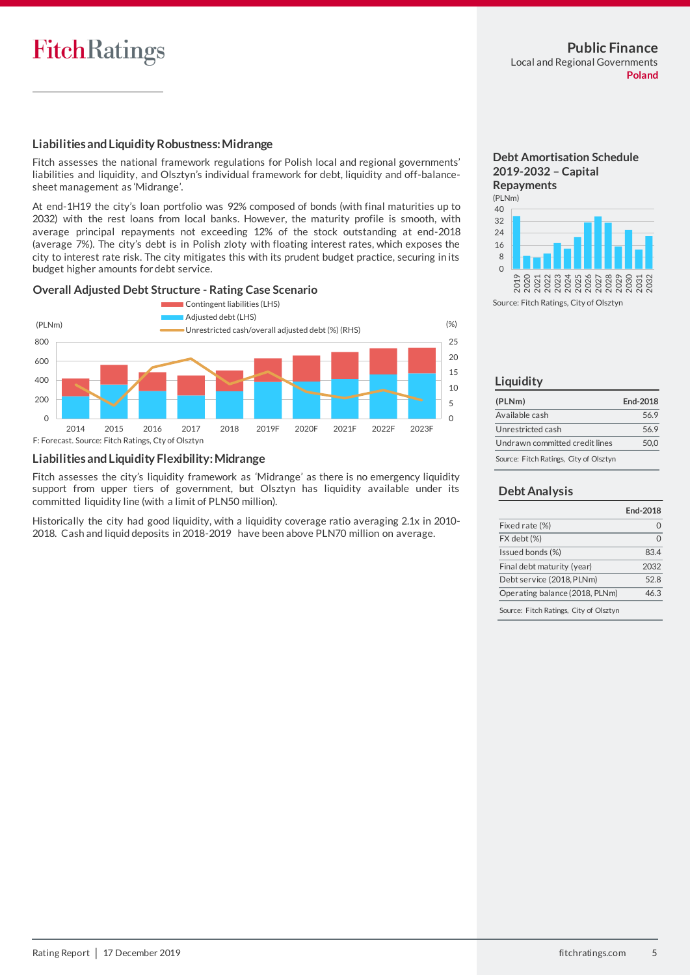# **FitchRatings**

#### **Liabilities andLiquidity Robustness: Midrange**

Fitch assesses the national framework regulations for Polish local and regional governments' liabilities and liquidity, and Olsztyn's individual framework for debt, liquidity and off-balancesheet management as 'Midrange'.

At end-1H19 the city's loan portfolio was 92% composed of bonds (with final maturities up to 2032) with the rest loans from local banks. However, the maturity profile is smooth, with average principal repayments not exceeding 12% of the stock outstanding at end-2018 (average 7%). The city's debt is in Polish zloty with floating interest rates, which exposes the city to interest rate risk. The city mitigates this with its prudent budget practice, securing in its budget higher amounts for debt service.

#### **Overall Adjusted Debt Structure - Rating Case Scenario**



#### **Liabilities andLiquidity Flexibility:Midrange**

Fitch assesses the city's liquidity framework as 'Midrange' as there is no emergency liquidity support from upper tiers of government, but Olsztyn has liquidity available under its committed liquidity line (with a limit of PLN50 million).

Historically the city had good liquidity, with a liquidity coverage ratio averaging 2.1x in 2010- 2018. Cash and liquid deposits in 2018-2019 have been above PLN70 million on average.



Source: Fitch Ratings, City of Olsztyn

#### **Liquidity**

| (PLNm)                                 | End-2018 |
|----------------------------------------|----------|
| Available cash                         | 56.9     |
| Unrestricted cash                      | 56.9     |
| Undrawn committed credit lines         | 50.0     |
| Source: Fitch Ratings, City of Olsztyn |          |

#### **Debt Analysis**

|                                | End-2018 |
|--------------------------------|----------|
| Fixed rate (%)                 | 0        |
| FX debt (%)                    | $\Omega$ |
| Issued bonds (%)               | 83.4     |
| Final debt maturity (year)     | 2032     |
| Debt service (2018, PLNm)      | 52.8     |
| Operating balance (2018, PLNm) | 46.3     |
|                                |          |

Source: Fitch Ratings, City of Olsztyn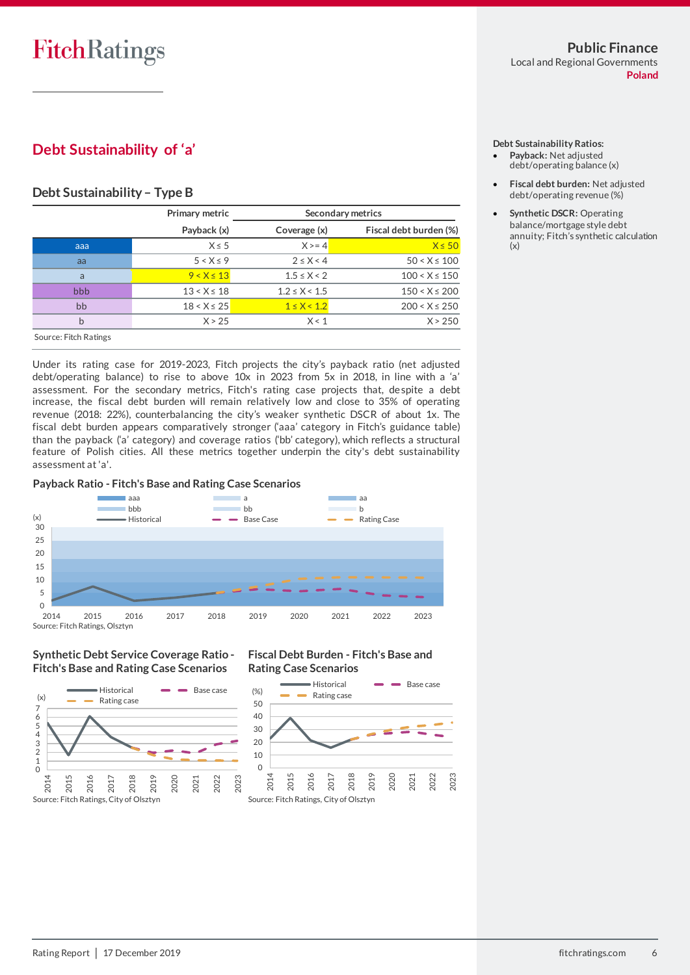# **Debt Sustainability of 'a'**

#### **Debt Sustainability– Type B**

|                       | Primary metric  |                   | Secondary metrics      |
|-----------------------|-----------------|-------------------|------------------------|
|                       | Payback (x)     | Coverage (x)      | Fiscal debt burden (%) |
| aaa                   | $X \leq 5$      | $X > = 4$         | $X \leq 50$            |
| aa                    | $5 < X \leq 9$  | $2 \leq X < 4$    | $50 < X \le 100$       |
| a                     | $9 < X \le 13$  | $1.5 \le X < 2$   | $100 < X \le 150$      |
| bbb                   | $13 < X \le 18$ | $1.2 \le X < 1.5$ | $150 < X \le 200$      |
| bb                    | $18 < X \le 25$ | $1 \le X < 1.2$   | $200 < X \le 250$      |
| b                     | X > 25          | X < 1             | X > 250                |
| Source: Fitch Ratings |                 |                   |                        |

Under its rating case for 2019-2023, Fitch projects the city's payback ratio (net adjusted debt/operating balance) to rise to above 10x in 2023 from 5x in 2018, in line with a 'a' assessment. For the secondary metrics, Fitch's rating case projects that, despite a debt increase, the fiscal debt burden will remain relatively low and close to 35% of operating revenue (2018: 22%), counterbalancing the city's weaker synthetic DSCR of about 1x. The fiscal debt burden appears comparatively stronger ('aaa' category in Fitch's guidance table) than the payback ('a' category) and coverage ratios ('bb' category), which reflects a structural feature of Polish cities. All these metrics together underpin the city's debt sustainability assessment at 'a'.

#### **Payback Ratio - Fitch's Base and Rating Case Scenarios**



#### **Synthetic Debt Service Coverage Ratio - Fitch's Base and Rating Case Scenarios**



#### **Fiscal Debt Burden - Fitch's Base and Rating Case Scenarios**



#### **Debt Sustainability Ratios:**

- **Payback:** Net adjusted debt/operating balance (x)
- **Fiscal debt burden:** Net adjusted debt/operating revenue (%)
- **Synthetic DSCR:** Operating balance/mortgage style debt annuity; Fitch's synthetic calculation (x)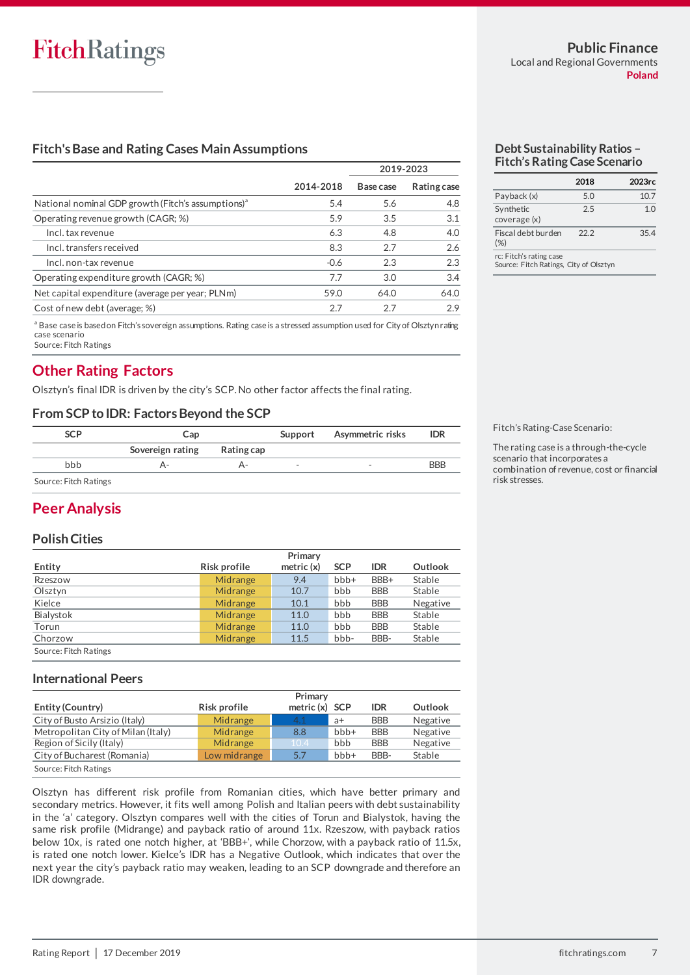#### **Fitch's Base and Rating Cases Main Assumptions**

|                                                                                                                             |           | 2019-2023 |             |  |
|-----------------------------------------------------------------------------------------------------------------------------|-----------|-----------|-------------|--|
|                                                                                                                             | 2014-2018 | Base case | Rating case |  |
| National nominal GDP growth (Fitch's assumptions) <sup>a</sup>                                                              | 5.4       | 5.6       | 4.8         |  |
| Operating revenue growth (CAGR; %)                                                                                          | 5.9       | 3.5       | 3.1         |  |
| Incl. tax revenue                                                                                                           | 6.3       | 4.8       | 4.0         |  |
| Incl. transfers received                                                                                                    | 8.3       | 2.7       | 2.6         |  |
| Incl. non-tax revenue                                                                                                       | $-0.6$    | 2.3       | 2.3         |  |
| Operating expenditure growth (CAGR; %)                                                                                      | 7.7       | 3.0       | 3.4         |  |
| Net capital expenditure (average per year; PLNm)                                                                            | 59.0      | 64.0      | 64.0        |  |
| Cost of new debt (average; %)                                                                                               | 2.7       | 2.7       | 2.9         |  |
| a Base case is based on Fitch's sovereign assumptions. Rating case is a stressed assumption used for City of Olsztyn rating |           |           |             |  |

case scenario Source: Fitch Ratings

### **Other Rating Factors**

Olsztyn's final IDR is driven by the city's SCP. No other factor affects the final rating.

#### **From SCP to IDR: Factors Beyond the SCP**

| SCP                   | Cap              |            | Support                  | Asymmetric risks         | <b>IDR</b> |
|-----------------------|------------------|------------|--------------------------|--------------------------|------------|
|                       | Sovereign rating | Rating cap |                          |                          |            |
| bbb                   |                  |            | $\overline{\phantom{0}}$ | $\overline{\phantom{a}}$ | <b>BBB</b> |
| Source: Fitch Ratings |                  |            |                          |                          |            |

### **Peer Analysis**

#### **Polish Cities**

|                       | Primary                      |      |            |            |          |  |  |
|-----------------------|------------------------------|------|------------|------------|----------|--|--|
| Entity                | metric $(x)$<br>Risk profile |      | <b>SCP</b> | <b>IDR</b> | Outlook  |  |  |
| Rzeszow               | Midrange                     | 9.4  | $bbb +$    | BBB+       | Stable   |  |  |
| Olsztyn               | Midrange                     | 10.7 | bbb        | <b>BBB</b> | Stable   |  |  |
| Kielce                | Midrange                     | 10.1 | bbb        | <b>BBB</b> | Negative |  |  |
| Bialystok             | Midrange                     | 11.0 | bbb        | <b>BBB</b> | Stable   |  |  |
| Torun                 | Midrange                     | 11.0 | bbb        | <b>BBB</b> | Stable   |  |  |
| Chorzow               | Midrange                     | 11.5 | bbb-       | BBB-       | Stable   |  |  |
| Source: Fitch Ratings |                              |      |            |            |          |  |  |

#### **International Peers**

|                                    | Primary      |           |                          |            |          |  |
|------------------------------------|--------------|-----------|--------------------------|------------|----------|--|
| <b>Entity (Country)</b>            | Risk profile | metric(x) | <b>SCP</b><br><b>IDR</b> |            | Outlook  |  |
| City of Busto Arsizio (Italy)      | Midrange     | 4.1       | $a+$                     | <b>BBB</b> | Negative |  |
| Metropolitan City of Milan (Italy) | Midrange     | 8.8       | $bbb +$                  | <b>BBB</b> | Negative |  |
| Region of Sicily (Italy)           | Midrange     | 10.4      | bbb                      | <b>BBB</b> | Negative |  |
| City of Bucharest (Romania)        | Low midrange | 5.7       | $bbb +$                  | BBB-       | Stable   |  |
| Source: Fitch Ratings              |              |           |                          |            |          |  |

Olsztyn has different risk profile from Romanian cities, which have better primary and secondary metrics. However, it fits well among Polish and Italian peers with debt sustainability in the 'a' category. Olsztyn compares well with the cities of Torun and Bialystok, having the same risk profile (Midrange) and payback ratio of around 11x. Rzeszow, with payback ratios below 10x, is rated one notch higher, at 'BBB+', while Chorzow, with a payback ratio of 11.5x, is rated one notch lower. Kielce's IDR has a Negative Outlook, which indicates that over the next year the city's payback ratio may weaken, leading to an SCP downgrade and therefore an IDR downgrade.

#### **Debt Sustainability Ratios – Fitch's Rating Case Scenario**

|                           | 2018 | 2023rc |
|---------------------------|------|--------|
| Payback (x)               | 5.0  | 10.7   |
| Synthetic<br>coverage (x) | 2.5  | 1.0    |
| Fiscal debt burden<br>(%) | 22.2 | 35.4   |
| re: Eitch's rating case   |      |        |

rc: Fitch's rating case Source: Fitch Ratings, City of Olsztyn

Fitch's Rating-Case Scenario:

The rating case is a through-the-cycle scenario that incorporates a combination of revenue, cost or financial risk stresses.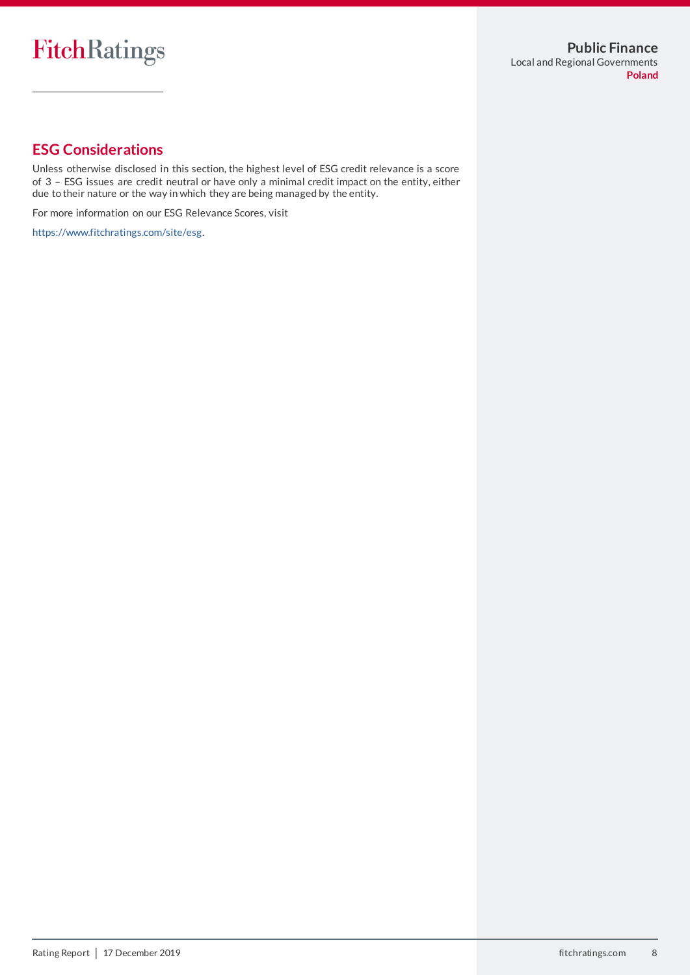# **ESG Considerations**

Unless otherwise disclosed in this section, the highest level of ESG credit relevance is a score of 3 – ESG issues are credit neutral or have only a minimal credit impact on the entity, either due to their nature or the way in which they are being managed by the entity.

For more information on our ESG Relevance Scores, visit

[https://www.fitchratings.com/site/esg.](https://www.fitchratings.com/site/esg)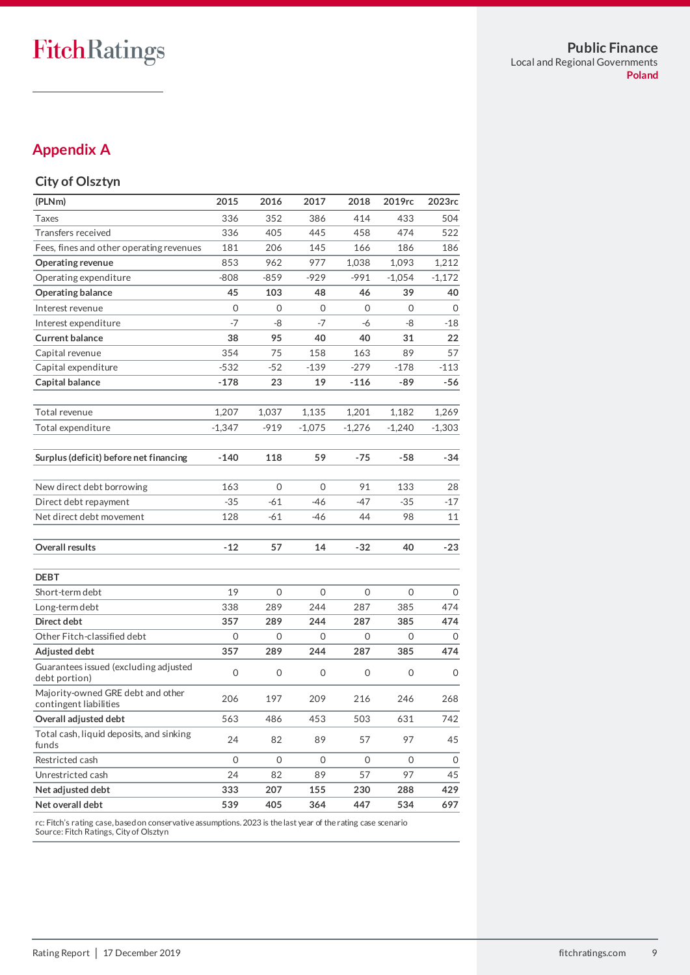# FitchRatings

# **Appendix A**

#### **City of Olsztyn**

| (PLNm)                                                      | 2015     | 2016         | 2017         | 2018     | 2019rc   | 2023rc   |
|-------------------------------------------------------------|----------|--------------|--------------|----------|----------|----------|
| Taxes                                                       | 336      | 352          | 386          | 414      | 433      | 504      |
| Transfers received                                          | 336      | 405          | 445          | 458      | 474      | 522      |
| Fees, fines and other operating revenues                    | 181      | 206          | 145          | 166      | 186      | 186      |
| <b>Operating revenue</b>                                    | 853      | 962          | 977          | 1,038    | 1,093    | 1,212    |
| Operating expenditure                                       | $-808$   | $-859$       | -929         | $-991$   | $-1,054$ | $-1,172$ |
| <b>Operating balance</b>                                    | 45       | 103          | 48           | 46       | 39       | 40       |
| Interest revenue                                            | 0        | 0            | 0            | 0        | $\Omega$ | 0        |
| Interest expenditure                                        | $-7$     | -8           | $-7$         | -6       | -8       | -18      |
| <b>Current balance</b>                                      | 38       | 95           | 40           | 40       | 31       | 22       |
| Capital revenue                                             | 354      | 75           | 158          | 163      | 89       | 57       |
| Capital expenditure                                         | $-532$   | $-52$        | -139         | $-279$   | $-178$   | $-113$   |
| Capital balance                                             | $-178$   | 23           | 19           | $-116$   | -89      | $-56$    |
| Total revenue                                               | 1,207    | 1,037        | 1,135        | 1,201    | 1,182    | 1,269    |
| Total expenditure                                           | $-1,347$ | -919         | $-1,075$     | $-1,276$ | $-1,240$ | $-1,303$ |
| Surplus (deficit) before net financing                      | $-140$   | 118          | 59           | -75      | $-58$    | -34      |
| New direct debt borrowing                                   | 163      | 0            | $\mathbf{O}$ | 91       | 133      | 28       |
| Direct debt repayment                                       | $-35$    | $-61$        | -46          | -47      | $-35$    | $-17$    |
| Net direct debt movement                                    | 128      | -61          | -46          | 44       | 98       | 11       |
| Overall results                                             | $-12$    | 57           | 14           | -32      | 40       | -23      |
| <b>DEBT</b>                                                 |          |              |              |          |          |          |
| Short-term debt                                             | 19       | $\Omega$     | 0            | 0        | 0        | $\Omega$ |
| Long-term debt                                              | 338      | 289          | 244          | 287      | 385      | 474      |
| Direct debt                                                 | 357      | 289          | 244          | 287      | 385      | 474      |
| Other Fitch-classified debt                                 | 0        | 0            | 0            | 0        | 0        | 0        |
| Adjusted debt                                               | 357      | 289          | 244          | 287      | 385      | 474      |
| Guarantees issued (excluding adjusted<br>debt portion)      | 0        | 0            | 0            | 0        | 0        | 0        |
| Majority-owned GRE debt and other<br>contingent liabilities | 206      | 197          | 209          | 216      | 246      | 268      |
| Overall adjusted debt                                       | 563      | 486          | 453          | 503      | 631      | 742      |
| Total cash, liquid deposits, and sinking<br>funds           | 24       | 82           | 89           | 57       | 97       | 45       |
| Restricted cash                                             | 0        | $\mathbf{O}$ | $\mathbf{O}$ | 0        | 0        | 0        |
| Unrestricted cash                                           | 24       | 82           | 89           | 57       | 97       | 45       |
| Net adjusted debt                                           | 333      | 207          | 155          | 230      | 288      | 429      |
| Net overall debt                                            | 539      | 405          | 364          | 447      | 534      | 697      |

rc: Fitch's rating case, based on conservative assumptions. 2023 is the last year of the rating case scenario Source: Fitch Ratings, City of Olsztyn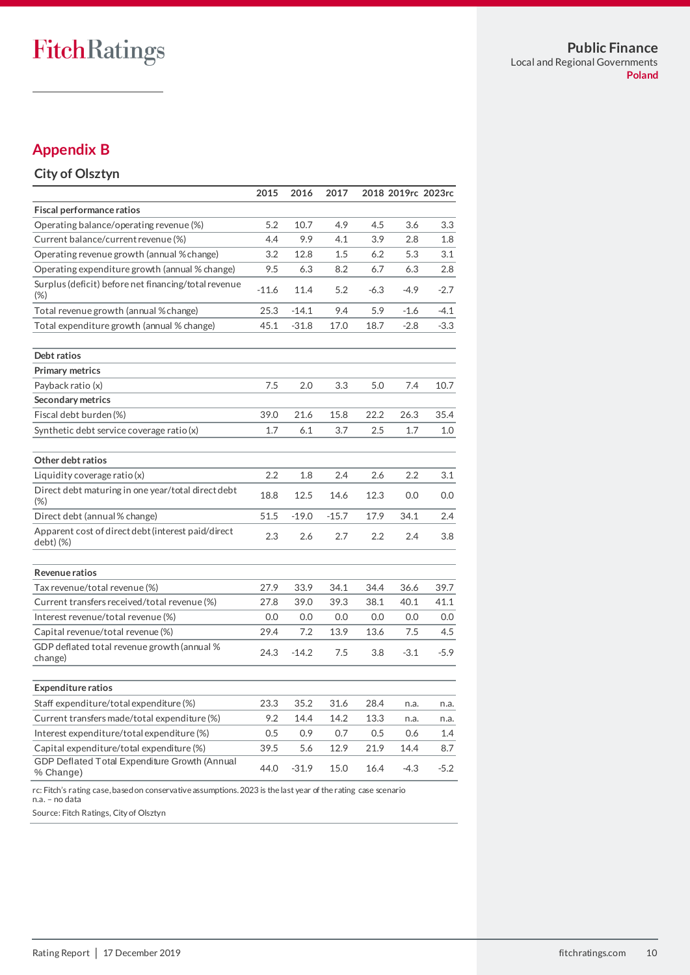# **Appendix B**

# **City of Olsztyn**

|                                                                                                               | 2015    | 2016    | 2017    |        |        | 2018 2019rc 2023rc |
|---------------------------------------------------------------------------------------------------------------|---------|---------|---------|--------|--------|--------------------|
| <b>Fiscal performance ratios</b>                                                                              |         |         |         |        |        |                    |
| Operating balance/operating revenue (%)                                                                       | 5.2     | 10.7    | 4.9     | 4.5    | 3.6    | 3.3                |
| Current balance/current revenue (%)                                                                           | 4.4     | 9.9     | 4.1     | 3.9    | 2.8    | 1.8                |
| Operating revenue growth (annual % change)                                                                    | 3.2     | 12.8    | 1.5     | 6.2    | 5.3    | 3.1                |
| Operating expenditure growth (annual % change)                                                                | 9.5     | 6.3     | 8.2     | 6.7    | 6.3    | 2.8                |
| Surplus (deficit) before net financing/total revenue<br>(%)                                                   | $-11.6$ | 11.4    | 5.2     | $-6.3$ | $-4.9$ | $-2.7$             |
| Total revenue growth (annual %change)                                                                         | 25.3    | $-14.1$ | 9.4     | 5.9    | $-1.6$ | $-4.1$             |
| Total expenditure growth (annual % change)                                                                    | 45.1    | $-31.8$ | 17.0    | 18.7   | $-2.8$ | $-3.3$             |
| Debt ratios                                                                                                   |         |         |         |        |        |                    |
| <b>Primary metrics</b>                                                                                        |         |         |         |        |        |                    |
| Payback ratio (x)                                                                                             | 7.5     | 2.0     | 3.3     | 5.0    | 7.4    | 10.7               |
| Secondary metrics                                                                                             |         |         |         |        |        |                    |
| Fiscal debt burden (%)                                                                                        | 39.0    | 21.6    | 15.8    | 22.2   | 26.3   | 35.4               |
| Synthetic debt service coverage ratio (x)                                                                     | 1.7     | 6.1     | 3.7     | 2.5    | 1.7    | 1.0                |
| Other debt ratios                                                                                             |         |         |         |        |        |                    |
| Liquidity coverage ratio $(x)$                                                                                | 2.2     | 1.8     | 2.4     | 2.6    | 2.2    | 3.1                |
| Direct debt maturing in one year/total direct debt<br>$(\%)$                                                  | 18.8    | 12.5    | 14.6    | 12.3   | 0.0    | 0.0                |
| Direct debt (annual % change)                                                                                 | 51.5    | $-19.0$ | $-15.7$ | 17.9   | 34.1   | 2.4                |
| Apparent cost of direct debt (interest paid/direct<br>debt) (%)                                               | 2.3     | 2.6     | 2.7     | 2.2    | 2.4    | 3.8                |
| Revenue ratios                                                                                                |         |         |         |        |        |                    |
| Tax revenue/total revenue (%)                                                                                 | 27.9    | 33.9    | 34.1    | 34.4   | 36.6   | 39.7               |
| Current transfers received/total revenue (%)                                                                  | 27.8    | 39.0    | 39.3    | 38.1   | 40.1   | 41.1               |
| Interest revenue/total revenue (%)                                                                            | 0.0     | 0.0     | 0.0     | 0.0    | 0.0    | 0.0                |
| Capital revenue/total revenue (%)                                                                             | 29.4    | 7.2     | 13.9    | 13.6   | 7.5    | 4.5                |
| GDP deflated total revenue growth (annual %<br>change)                                                        | 24.3    | $-14.2$ | 7.5     | 3.8    | $-3.1$ | $-5.9$             |
| <b>Expenditure ratios</b>                                                                                     |         |         |         |        |        |                    |
| Staff expenditure/total expenditure (%)                                                                       | 23.3    | 35.2    | 31.6    | 28.4   | n.a.   | n.a.               |
| Current transfers made/total expenditure (%)                                                                  | 9.2     | 14.4    | 14.2    | 13.3   | n.a.   | n.a.               |
| Interest expenditure/total expenditure (%)                                                                    | 0.5     | 0.9     | 0.7     | 0.5    | 0.6    | $1.4\,$            |
| Capital expenditure/total expenditure (%)                                                                     | 39.5    | 5.6     | 12.9    | 21.9   | 14.4   | 8.7                |
| GDP Deflated Total Expenditure Growth (Annual<br>% Change)                                                    | 44.0    | $-31.9$ | 15.0    | 16.4   | $-4.3$ | $-5.2$             |
| rc: Fitch's rating case, based on conservative assumptions. 2023 is the last year of the rating case scenario |         |         |         |        |        |                    |

n.a. – no data

Source: Fitch Ratings, City of Olsztyn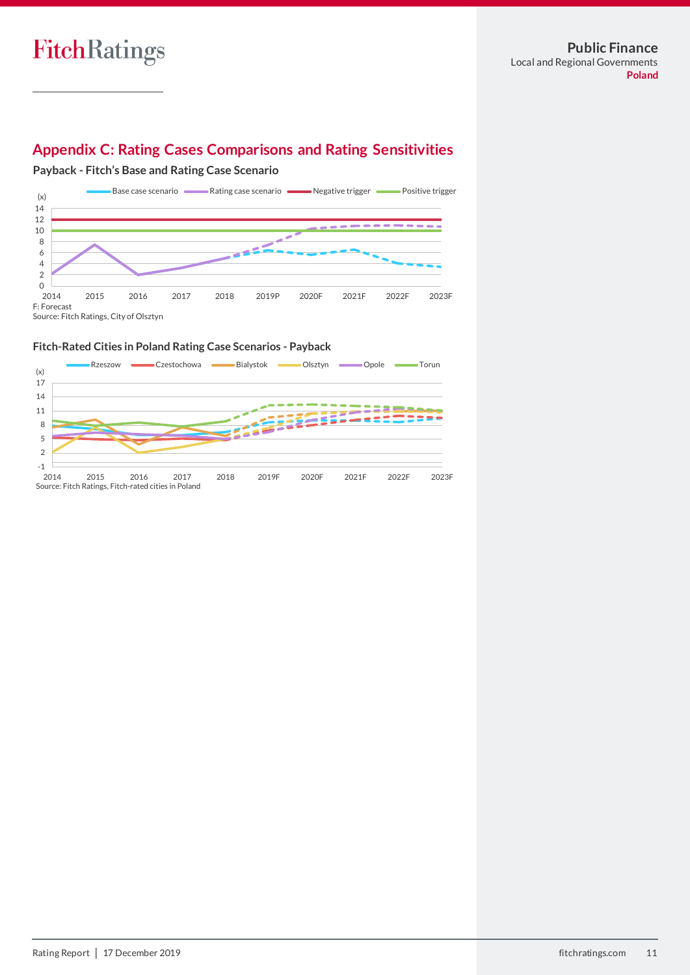# **Appendix C: Rating Cases Comparisons and Rating Sensitivities**

**Payback - Fitch's Base and Rating Case Scenario**



#### **Fitch-Rated Cities in Poland Rating Case Scenarios - Payback**